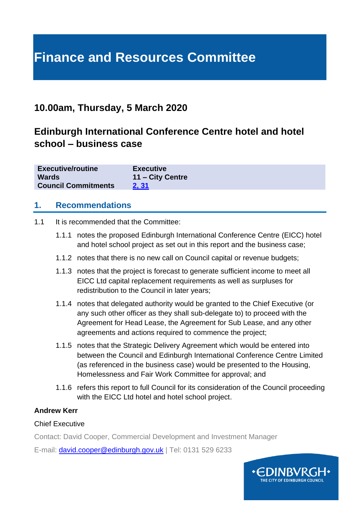# **Finance and Resources Committee**

### **10.00am, Thursday, 5 March 2020**

## **Edinburgh International Conference Centre hotel and hotel school – business case**

| <b>Executive/routine</b>   | <b>Executive</b> |
|----------------------------|------------------|
| <b>Wards</b>               | 11 – City Centre |
| <b>Council Commitments</b> | 2, 31            |

#### **1. Recommendations**

- 1.1 It is recommended that the Committee:
	- 1.1.1 notes the proposed Edinburgh International Conference Centre (EICC) hotel and hotel school project as set out in this report and the business case;
	- 1.1.2 notes that there is no new call on Council capital or revenue budgets;
	- 1.1.3 notes that the project is forecast to generate sufficient income to meet all EICC Ltd capital replacement requirements as well as surpluses for redistribution to the Council in later years;
	- 1.1.4 notes that delegated authority would be granted to the Chief Executive (or any such other officer as they shall sub-delegate to) to proceed with the Agreement for Head Lease, the Agreement for Sub Lease, and any other agreements and actions required to commence the project;
	- 1.1.5 notes that the Strategic Delivery Agreement which would be entered into between the Council and Edinburgh International Conference Centre Limited (as referenced in the business case) would be presented to the Housing, Homelessness and Fair Work Committee for approval; and
	- 1.1.6 refers this report to full Council for its consideration of the Council proceeding with the EICC Ltd hotel and hotel school project.

#### **Andrew Kerr**

#### Chief Executive

Contact: David Cooper, Commercial Development and Investment Manager

E-mail: [david.cooper@edinburgh.gov.uk](mailto:david.cooper@edinburgh.gov.uk) | Tel: 0131 529 6233

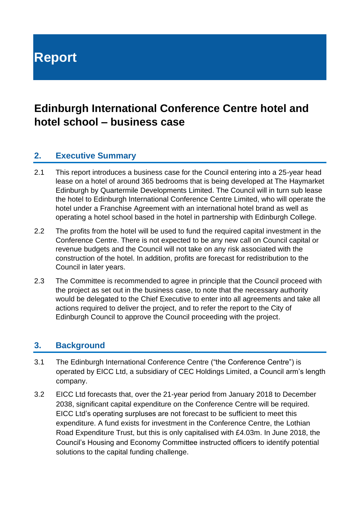# **Report**

## **Edinburgh International Conference Centre hotel and hotel school – business case**

#### **2. Executive Summary**

- 2.1 This report introduces a business case for the Council entering into a 25-year head lease on a hotel of around 365 bedrooms that is being developed at The Haymarket Edinburgh by Quartermile Developments Limited. The Council will in turn sub lease the hotel to Edinburgh International Conference Centre Limited, who will operate the hotel under a Franchise Agreement with an international hotel brand as well as operating a hotel school based in the hotel in partnership with Edinburgh College.
- 2.2 The profits from the hotel will be used to fund the required capital investment in the Conference Centre. There is not expected to be any new call on Council capital or revenue budgets and the Council will not take on any risk associated with the construction of the hotel. In addition, profits are forecast for redistribution to the Council in later years.
- 2.3 The Committee is recommended to agree in principle that the Council proceed with the project as set out in the business case, to note that the necessary authority would be delegated to the Chief Executive to enter into all agreements and take all actions required to deliver the project, and to refer the report to the City of Edinburgh Council to approve the Council proceeding with the project.

#### **3. Background**

- 3.1 The Edinburgh International Conference Centre ("the Conference Centre") is operated by EICC Ltd, a subsidiary of CEC Holdings Limited, a Council arm's length company.
- 3.2 EICC Ltd forecasts that, over the 21-year period from January 2018 to December 2038, significant capital expenditure on the Conference Centre will be required. EICC Ltd's operating surpluses are not forecast to be sufficient to meet this expenditure. A fund exists for investment in the Conference Centre, the Lothian Road Expenditure Trust, but this is only capitalised with £4.03m. In June 2018, the Council's Housing and Economy Committee instructed officers to identify potential solutions to the capital funding challenge.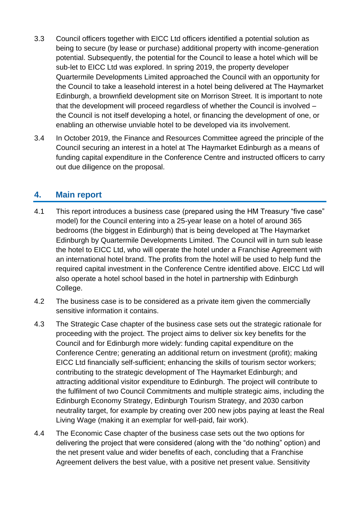- 3.3 Council officers together with EICC Ltd officers identified a potential solution as being to secure (by lease or purchase) additional property with income-generation potential. Subsequently, the potential for the Council to lease a hotel which will be sub-let to EICC Ltd was explored. In spring 2019, the property developer Quartermile Developments Limited approached the Council with an opportunity for the Council to take a leasehold interest in a hotel being delivered at The Haymarket Edinburgh, a brownfield development site on Morrison Street. It is important to note that the development will proceed regardless of whether the Council is involved – the Council is not itself developing a hotel, or financing the development of one, or enabling an otherwise unviable hotel to be developed via its involvement.
- 3.4 In October 2019, the Finance and Resources Committee agreed the principle of the Council securing an interest in a hotel at The Haymarket Edinburgh as a means of funding capital expenditure in the Conference Centre and instructed officers to carry out due diligence on the proposal.

#### **4. Main report**

- 4.1 This report introduces a business case (prepared using the HM Treasury "five case" model) for the Council entering into a 25-year lease on a hotel of around 365 bedrooms (the biggest in Edinburgh) that is being developed at The Haymarket Edinburgh by Quartermile Developments Limited. The Council will in turn sub lease the hotel to EICC Ltd, who will operate the hotel under a Franchise Agreement with an international hotel brand. The profits from the hotel will be used to help fund the required capital investment in the Conference Centre identified above. EICC Ltd will also operate a hotel school based in the hotel in partnership with Edinburgh College.
- 4.2 The business case is to be considered as a private item given the commercially sensitive information it contains.
- 4.3 The Strategic Case chapter of the business case sets out the strategic rationale for proceeding with the project. The project aims to deliver six key benefits for the Council and for Edinburgh more widely: funding capital expenditure on the Conference Centre; generating an additional return on investment (profit); making EICC Ltd financially self-sufficient; enhancing the skills of tourism sector workers; contributing to the strategic development of The Haymarket Edinburgh; and attracting additional visitor expenditure to Edinburgh. The project will contribute to the fulfilment of two Council Commitments and multiple strategic aims, including the Edinburgh Economy Strategy, Edinburgh Tourism Strategy, and 2030 carbon neutrality target, for example by creating over 200 new jobs paying at least the Real Living Wage (making it an exemplar for well-paid, fair work).
- 4.4 The Economic Case chapter of the business case sets out the two options for delivering the project that were considered (along with the "do nothing" option) and the net present value and wider benefits of each, concluding that a Franchise Agreement delivers the best value, with a positive net present value. Sensitivity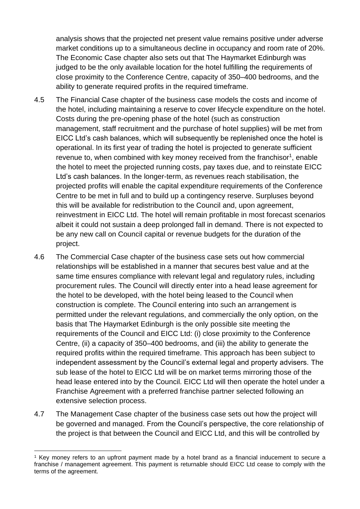analysis shows that the projected net present value remains positive under adverse market conditions up to a simultaneous decline in occupancy and room rate of 20%. The Economic Case chapter also sets out that The Haymarket Edinburgh was judged to be the only available location for the hotel fulfilling the requirements of close proximity to the Conference Centre, capacity of 350–400 bedrooms, and the ability to generate required profits in the required timeframe.

- 4.5 The Financial Case chapter of the business case models the costs and income of the hotel, including maintaining a reserve to cover lifecycle expenditure on the hotel. Costs during the pre-opening phase of the hotel (such as construction management, staff recruitment and the purchase of hotel supplies) will be met from EICC Ltd's cash balances, which will subsequently be replenished once the hotel is operational. In its first year of trading the hotel is projected to generate sufficient revenue to, when combined with key money received from the franchisor<sup>1</sup>, enable the hotel to meet the projected running costs, pay taxes due, and to reinstate EICC Ltd's cash balances. In the longer-term, as revenues reach stabilisation, the projected profits will enable the capital expenditure requirements of the Conference Centre to be met in full and to build up a contingency reserve. Surpluses beyond this will be available for redistribution to the Council and, upon agreement, reinvestment in EICC Ltd. The hotel will remain profitable in most forecast scenarios albeit it could not sustain a deep prolonged fall in demand. There is not expected to be any new call on Council capital or revenue budgets for the duration of the project.
- 4.6 The Commercial Case chapter of the business case sets out how commercial relationships will be established in a manner that secures best value and at the same time ensures compliance with relevant legal and regulatory rules, including procurement rules. The Council will directly enter into a head lease agreement for the hotel to be developed, with the hotel being leased to the Council when construction is complete. The Council entering into such an arrangement is permitted under the relevant regulations, and commercially the only option, on the basis that The Haymarket Edinburgh is the only possible site meeting the requirements of the Council and EICC Ltd: (i) close proximity to the Conference Centre, (ii) a capacity of 350–400 bedrooms, and (iii) the ability to generate the required profits within the required timeframe. This approach has been subject to independent assessment by the Council's external legal and property advisers. The sub lease of the hotel to EICC Ltd will be on market terms mirroring those of the head lease entered into by the Council. EICC Ltd will then operate the hotel under a Franchise Agreement with a preferred franchise partner selected following an extensive selection process.
- 4.7 The Management Case chapter of the business case sets out how the project will be governed and managed. From the Council's perspective, the core relationship of the project is that between the Council and EICC Ltd, and this will be controlled by

<sup>1</sup> Key money refers to an upfront payment made by a hotel brand as a financial inducement to secure a franchise / management agreement. This payment is returnable should EICC Ltd cease to comply with the terms of the agreement.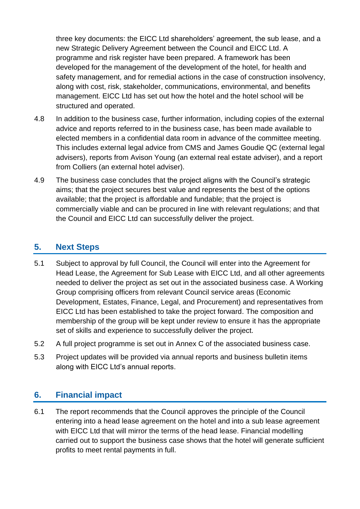three key documents: the EICC Ltd shareholders' agreement, the sub lease, and a new Strategic Delivery Agreement between the Council and EICC Ltd. A programme and risk register have been prepared. A framework has been developed for the management of the development of the hotel, for health and safety management, and for remedial actions in the case of construction insolvency, along with cost, risk, stakeholder, communications, environmental, and benefits management. EICC Ltd has set out how the hotel and the hotel school will be structured and operated.

- 4.8 In addition to the business case, further information, including copies of the external advice and reports referred to in the business case, has been made available to elected members in a confidential data room in advance of the committee meeting. This includes external legal advice from CMS and James Goudie QC (external legal advisers), reports from Avison Young (an external real estate adviser), and a report from Colliers (an external hotel adviser).
- 4.9 The business case concludes that the project aligns with the Council's strategic aims; that the project secures best value and represents the best of the options available; that the project is affordable and fundable; that the project is commercially viable and can be procured in line with relevant regulations; and that the Council and EICC Ltd can successfully deliver the project.

#### **5. Next Steps**

- 5.1 Subject to approval by full Council, the Council will enter into the Agreement for Head Lease, the Agreement for Sub Lease with EICC Ltd, and all other agreements needed to deliver the project as set out in the associated business case. A Working Group comprising officers from relevant Council service areas (Economic Development, Estates, Finance, Legal, and Procurement) and representatives from EICC Ltd has been established to take the project forward. The composition and membership of the group will be kept under review to ensure it has the appropriate set of skills and experience to successfully deliver the project.
- 5.2 A full project programme is set out in Annex C of the associated business case.
- 5.3 Project updates will be provided via annual reports and business bulletin items along with EICC Ltd's annual reports.

#### **6. Financial impact**

6.1 The report recommends that the Council approves the principle of the Council entering into a head lease agreement on the hotel and into a sub lease agreement with EICC Ltd that will mirror the terms of the head lease. Financial modelling carried out to support the business case shows that the hotel will generate sufficient profits to meet rental payments in full.